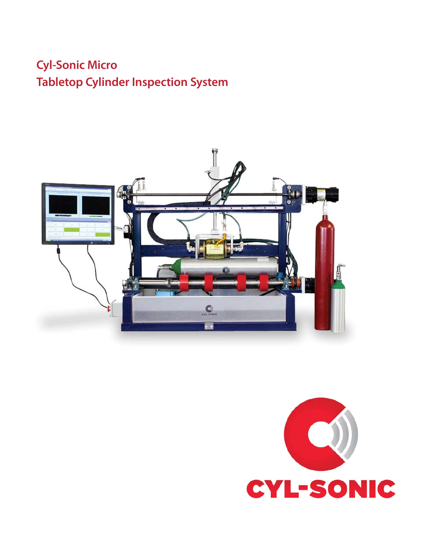# **Cyl-Sonic Micro Tabletop Cylinder Inspection System**



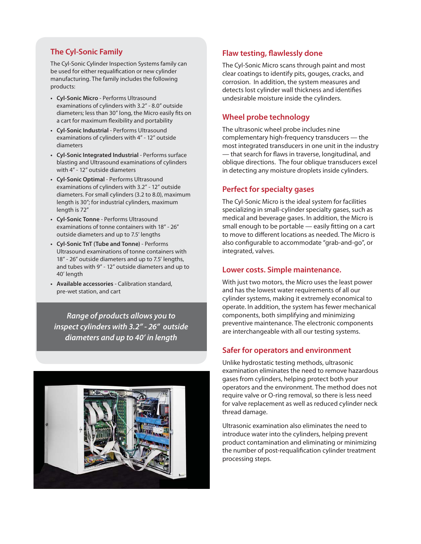# **The Cyl-Sonic Family**

The Cyl-Sonic Cylinder Inspection Systems family can be used for either requalification or new cylinder manufacturing. The family includes the following products:

- **Cyl-Sonic Micro** Performs Ultrasound examinations of cylinders with 3.2" - 8.0" outside diameters; less than 30" long, the Micro easily fits on a cart for maximum flexibility and portability
- **Cyl-Sonic Industrial** Performs Ultrasound examinations of cylinders with 4" - 12" outside diameters
- **Cyl-Sonic Integrated Industrial** Performs surface blasting and Ultrasound examinations of cylinders with 4" - 12" outside diameters
- **Cyl-Sonic Optimal** Performs Ultrasound examinations of cylinders with 3.2" - 12" outside diameters. For small cylinders (3.2 to 8.0), maximum length is 30"; for industrial cylinders, maximum length is 72"
- **Cyl-Sonic Tonne** Performs Ultrasound examinations of tonne containers with 18" - 26" outside diameters and up to 7.5' lengths
- **Cyl-Sonic TnT (Tube and Tonne)** Performs Ultrasound examinations of tonne containers with 18" - 26" outside diameters and up to 7.5' lengths, and tubes with 9" - 12" outside diameters and up to 40' length
- **Available accessories** Calibration standard, pre-wet station, and cart

*Range of products allows you to inspect cylinders with 3.2" - 26" outside diameters and up to 40' in length*



# **Flaw testing, flawlessly done**

The Cyl-Sonic Micro scans through paint and most clear coatings to identify pits, gouges, cracks, and corrosion. In addition, the system measures and detects lost cylinder wall thickness and identifies undesirable moisture inside the cylinders.

# **Wheel probe technology**

The ultrasonic wheel probe includes nine complementary high-frequency transducers — the most integrated transducers in one unit in the industry — that search for flaws in traverse, longitudinal, and oblique directions. The four oblique transducers excel in detecting any moisture droplets inside cylinders.

# **Perfect for specialty gases**

The Cyl-Sonic Micro is the ideal system for facilities specializing in small-cylinder specialty gases, such as medical and beverage gases. In addition, the Micro is small enough to be portable - easily fitting on a cart to move to different locations as needed. The Micro is also configurable to accommodate "grab-and-go", or integrated, valves.

#### **Lower costs. Simple maintenance.**

With just two motors, the Micro uses the least power and has the lowest water requirements of all our cylinder systems, making it extremely economical to operate. In addition, the system has fewer mechanical components, both simplifying and minimizing preventive maintenance. The electronic components are interchangeable with all our testing systems.

### **Safer for operators and environment**

Unlike hydrostatic testing methods, ultrasonic examination eliminates the need to remove hazardous gases from cylinders, helping protect both your operators and the environment. The method does not require valve or O-ring removal, so there is less need for valve replacement as well as reduced cylinder neck thread damage.

Ultrasonic examination also eliminates the need to introduce water into the cylinders, helping prevent product contamination and eliminating or minimizing the number of post-requalification cylinder treatment processing steps.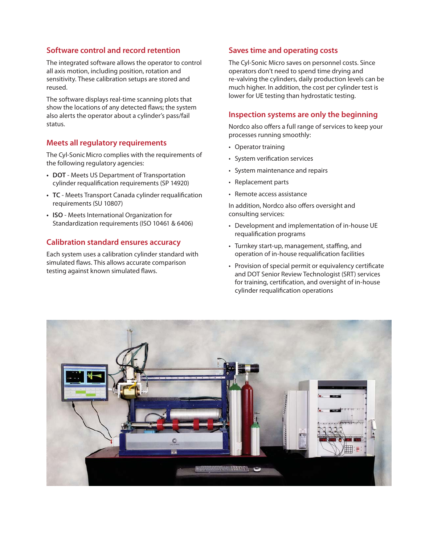## **Software control and record retention**

The integrated software allows the operator to control all axis motion, including position, rotation and sensitivity. These calibration setups are stored and reused.

The software displays real-time scanning plots that show the locations of any detected flaws; the system also alerts the operator about a cylinder's pass/fail status.

### **Meets all regulatory requirements**

The Cyl-Sonic Micro complies with the requirements of the following regulatory agencies:

- **DOT** Meets US Department of Transportation cylinder requalification requirements (SP 14920)
- TC Meets Transport Canada cylinder requalification requirements (SU 10807)
- **ISO** Meets International Organization for Standardization requirements (ISO 10461 & 6406)

### **Calibration standard ensures accuracy**

Each system uses a calibration cylinder standard with simulated flaws. This allows accurate comparison testing against known simulated flaws.

### **Saves time and operating costs**

The Cyl-Sonic Micro saves on personnel costs. Since operators don't need to spend time drying and re-valving the cylinders, daily production levels can be much higher. In addition, the cost per cylinder test is lower for UE testing than hydrostatic testing.

#### **Inspection systems are only the beginning**

Nordco also offers a full range of services to keep your processes running smoothly:

- Operator training
- System verification services
- System maintenance and repairs
- Replacement parts
- Remote access assistance

In addition, Nordco also offers oversight and consulting services:

- Development and implementation of in-house UE requalification programs
- Turnkey start-up, management, staffing, and operation of in-house requalification facilities
- Provision of special permit or equivalency certificate and DOT Senior Review Technologist (SRT) services for training, certification, and oversight of in-house cylinder requalification operations